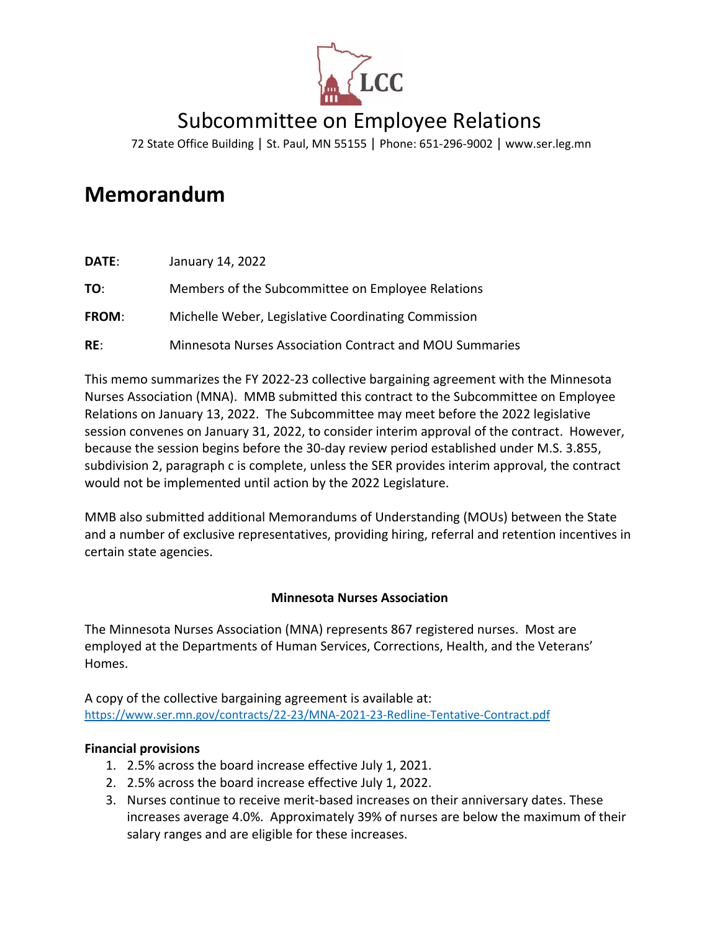

# Subcommittee on Employee Relations

72 State Office Building | St. Paul, MN 55155 | Phone: 651-296-9002 | [www.ser.leg.mn](http://www.ser.leg.mn/)

# **Memorandum**

| DATE:        | January 14, 2022                                        |
|--------------|---------------------------------------------------------|
| TO:          | Members of the Subcommittee on Employee Relations       |
| <b>FROM:</b> | Michelle Weber, Legislative Coordinating Commission     |
| RE:          | Minnesota Nurses Association Contract and MOU Summaries |

This memo summarizes the FY 2022-23 collective bargaining agreement with the Minnesota Nurses Association (MNA). MMB submitted this contract to the Subcommittee on Employee Relations on January 13, 2022. The Subcommittee may meet before the 2022 legislative session convenes on January 31, 2022, to consider interim approval of the contract. However, because the session begins before the 30-day review period established under M.S. 3.855, subdivision 2, paragraph c is complete, unless the SER provides interim approval, the contract would not be implemented until action by the 2022 Legislature.

MMB also submitted additional Memorandums of Understanding (MOUs) between the State and a number of exclusive representatives, providing hiring, referral and retention incentives in certain state agencies.

## **Minnesota Nurses Association**

The Minnesota Nurses Association (MNA) represents 867 registered nurses. Most are employed at the Departments of Human Services, Corrections, Health, and the Veterans' Homes.

A copy of the collective bargaining agreement is available at: <https://www.ser.mn.gov/contracts/22-23/MNA-2021-23-Redline-Tentative-Contract.pdf>

## **Financial provisions**

- 1. 2.5% across the board increase effective July 1, 2021.
- 2. 2.5% across the board increase effective July 1, 2022.
- 3. Nurses continue to receive merit-based increases on their anniversary dates. These increases average 4.0%. Approximately 39% of nurses are below the maximum of their salary ranges and are eligible for these increases.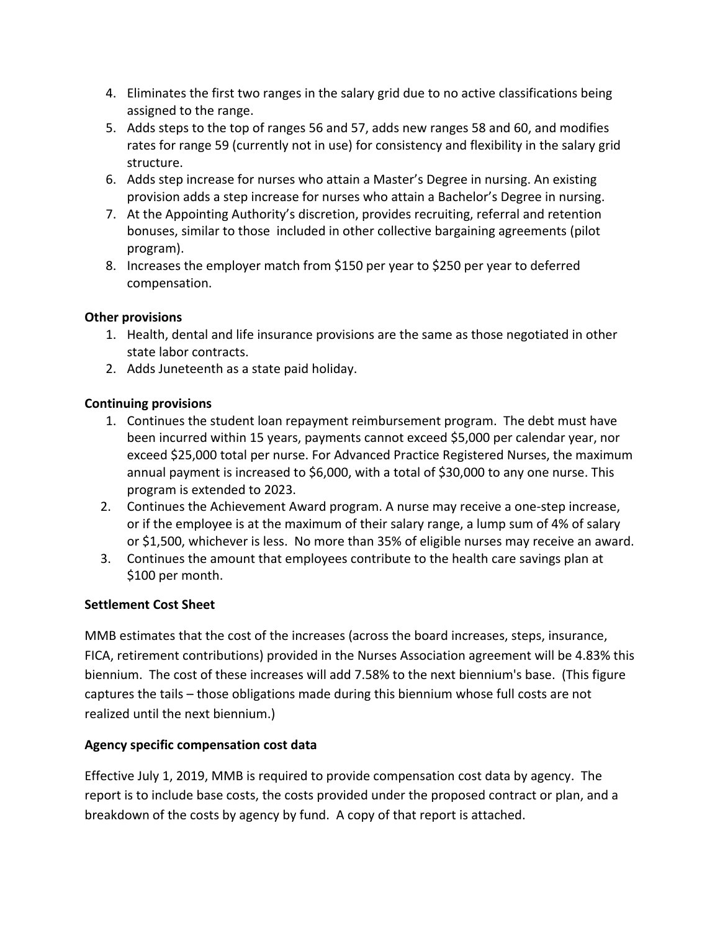- 4. Eliminates the first two ranges in the salary grid due to no active classifications being assigned to the range.
- 5. Adds steps to the top of ranges 56 and 57, adds new ranges 58 and 60, and modifies rates for range 59 (currently not in use) for consistency and flexibility in the salary grid structure.
- 6. Adds step increase for nurses who attain a Master's Degree in nursing. An existing provision adds a step increase for nurses who attain a Bachelor's Degree in nursing.
- 7. At the Appointing Authority's discretion, provides recruiting, referral and retention bonuses, similar to those included in other collective bargaining agreements (pilot program).
- 8. Increases the employer match from \$150 per year to \$250 per year to deferred compensation.

## **Other provisions**

- 1. Health, dental and life insurance provisions are the same as those negotiated in other state labor contracts.
- 2. Adds Juneteenth as a state paid holiday.

## **Continuing provisions**

- 1. Continues the student loan repayment reimbursement program. The debt must have been incurred within 15 years, payments cannot exceed \$5,000 per calendar year, nor exceed \$25,000 total per nurse. For Advanced Practice Registered Nurses, the maximum annual payment is increased to \$6,000, with a total of \$30,000 to any one nurse. This program is extended to 2023.
- 2. Continues the Achievement Award program. A nurse may receive a one-step increase, or if the employee is at the maximum of their salary range, a lump sum of 4% of salary or \$1,500, whichever is less. No more than 35% of eligible nurses may receive an award.
- 3. Continues the amount that employees contribute to the health care savings plan at \$100 per month.

## **Settlement Cost Sheet**

MMB estimates that the cost of the increases (across the board increases, steps, insurance, FICA, retirement contributions) provided in the Nurses Association agreement will be 4.83% this biennium. The cost of these increases will add 7.58% to the next biennium's base. (This figure captures the tails – those obligations made during this biennium whose full costs are not realized until the next biennium.)

## **Agency specific compensation cost data**

Effective July 1, 2019, MMB is required to provide compensation cost data by agency. The report is to include base costs, the costs provided under the proposed contract or plan, and a breakdown of the costs by agency by fund. A copy of that report is attached.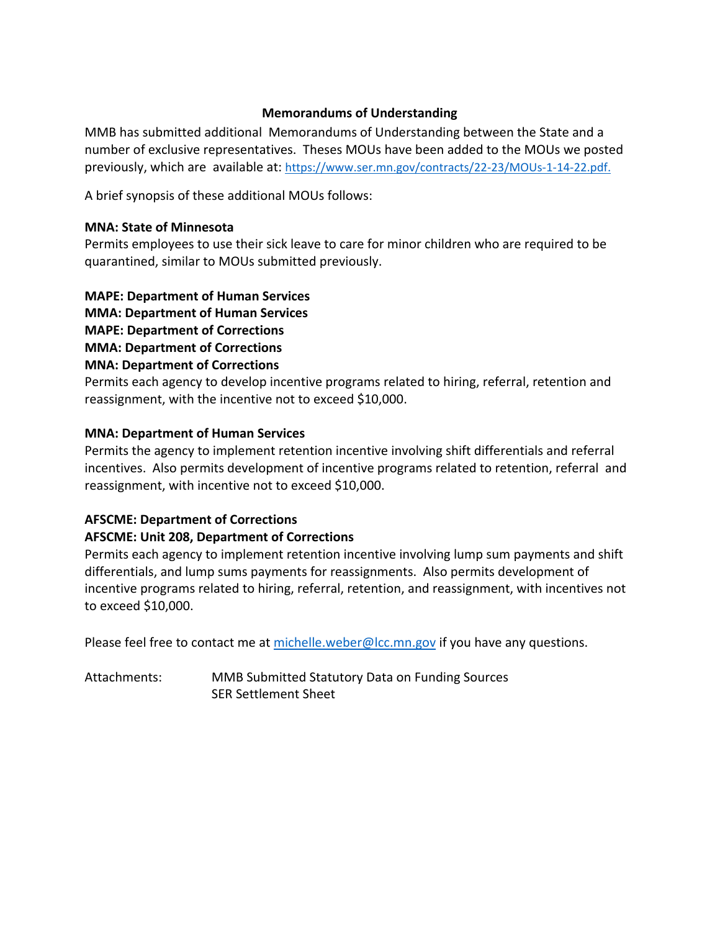## **Memorandums of Understanding**

MMB has submitted additional Memorandums of Understanding between the State and a number of exclusive representatives. Theses MOUs have been added to the MOUs we posted previously, which are available at: [https://www.ser.mn.gov/contracts/22-23/MOUs-1-14-22.pdf.](https://www.ser.mn.gov/contracts/22-23/MOUs-1-14-22.pdf)

A brief synopsis of these additional MOUs follows:

#### **MNA: State of Minnesota**

Permits employees to use their sick leave to care for minor children who are required to be quarantined, similar to MOUs submitted previously.

**MAPE: Department of Human Services** 

**MMA: Department of Human Services** 

**MAPE: Department of Corrections** 

**MMA: Department of Corrections** 

## **MNA: Department of Corrections**

Permits each agency to develop incentive programs related to hiring, referral, retention and reassignment, with the incentive not to exceed \$10,000.

#### **MNA: Department of Human Services**

Permits the agency to implement retention incentive involving shift differentials and referral incentives. Also permits development of incentive programs related to retention, referral and reassignment, with incentive not to exceed \$10,000.

## **AFSCME: Department of Corrections**

#### **AFSCME: Unit 208, Department of Corrections**

Permits each agency to implement retention incentive involving lump sum payments and shift differentials, and lump sums payments for reassignments. Also permits development of incentive programs related to hiring, referral, retention, and reassignment, with incentives not to exceed \$10,000.

Please feel free to contact me a[t michelle.weber@lcc.mn.gov](mailto:michelle.weber@lcc.mn.gov) if you have any questions.

Attachments: MMB Submitted Statutory Data on Funding Sources SER Settlement Sheet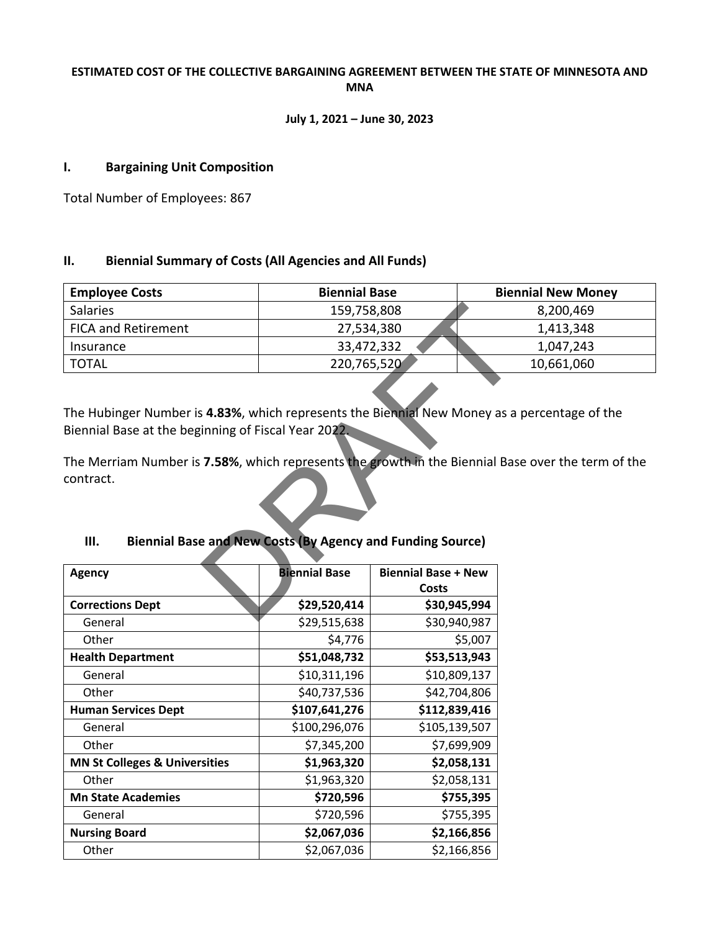#### **ESTIMATED COST OF THE COLLECTIVE BARGAINING AGREEMENT BETWEEN THE STATE OF MINNESOTA AND MNA**

#### **July 1, 2021 – June 30, 2023**

#### **I. Bargaining Unit Composition**

Total Number of Employees: 867

#### **II. Biennial Summary of Costs (All Agencies and All Funds)**

| <b>Employee Costs</b>                                                                                                                               | <b>Biennial Base</b> |                            | <b>Biennial New Money</b> |  |  |  |  |  |  |
|-----------------------------------------------------------------------------------------------------------------------------------------------------|----------------------|----------------------------|---------------------------|--|--|--|--|--|--|
| <b>Salaries</b>                                                                                                                                     | 159,758,808          |                            | 8,200,469                 |  |  |  |  |  |  |
| <b>FICA and Retirement</b>                                                                                                                          | 27,534,380           |                            | 1,413,348                 |  |  |  |  |  |  |
| Insurance                                                                                                                                           | 33,472,332           |                            | 1,047,243                 |  |  |  |  |  |  |
| <b>TOTAL</b>                                                                                                                                        | 220,765,520          |                            | 10,661,060                |  |  |  |  |  |  |
| The Hubinger Number is 4.83%, which represents the Biennial New Money as a percentage of the<br>Biennial Base at the beginning of Fiscal Year 2022. |                      |                            |                           |  |  |  |  |  |  |
| The Merriam Number is 7.58%, which represents the growth in the Biennial Base over the term of the<br>contract.                                     |                      |                            |                           |  |  |  |  |  |  |
| <b>Biennial Base and New Costs (By Agency and Funding Source)</b><br>Ш.                                                                             |                      |                            |                           |  |  |  |  |  |  |
| <b>Agency</b>                                                                                                                                       | <b>Biennial Base</b> | <b>Biennial Base + New</b> |                           |  |  |  |  |  |  |
|                                                                                                                                                     |                      | Costs                      |                           |  |  |  |  |  |  |
| <b>Corrections Dept</b>                                                                                                                             | \$29,520,414         | \$30,945,994               |                           |  |  |  |  |  |  |
| $C$ and ral                                                                                                                                         | 620.515.620          | cao o vez                  |                           |  |  |  |  |  |  |

## **III. Biennial Base and New Costs (By Agency and Funding Source)**

| Agency                                   | <b>Biennial Base</b> | <b>Biennial Base + New</b><br><b>Costs</b> |
|------------------------------------------|----------------------|--------------------------------------------|
| <b>Corrections Dept</b>                  | \$29,520,414         | \$30,945,994                               |
| General                                  | \$29,515,638         | \$30,940,987                               |
| Other                                    | \$4,776              | \$5,007                                    |
| <b>Health Department</b>                 | \$51,048,732         | \$53,513,943                               |
| General                                  | \$10,311,196         | \$10,809,137                               |
| Other                                    | \$40,737,536         | \$42,704,806                               |
| <b>Human Services Dept</b>               | \$107,641,276        | \$112,839,416                              |
| General                                  | \$100,296,076        | \$105,139,507                              |
| Other                                    | \$7,345,200          | \$7,699,909                                |
| <b>MN St Colleges &amp; Universities</b> | \$1,963,320          | \$2,058,131                                |
| Other                                    | \$1,963,320          | \$2,058,131                                |
| <b>Mn State Academies</b>                | \$720,596            | \$755,395                                  |
| General                                  | \$720,596            | \$755,395                                  |
| <b>Nursing Board</b>                     | \$2,067,036          | \$2,166,856                                |
| Other                                    | \$2,067,036          | \$2,166,856                                |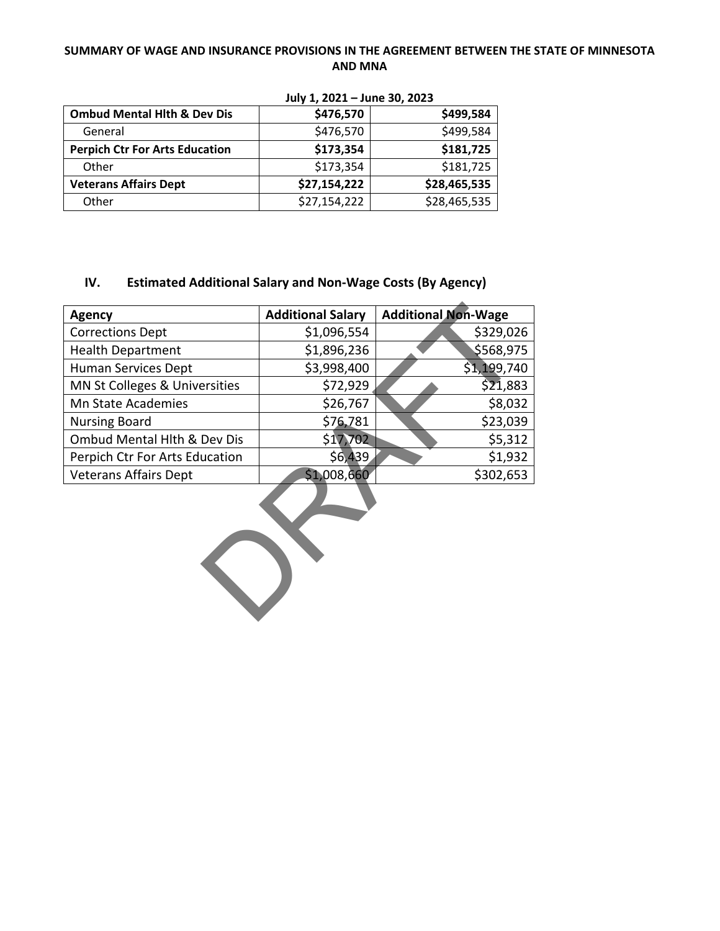#### **SUMMARY OF WAGE AND INSURANCE PROVISIONS IN THE AGREEMENT BETWEEN THE STATE OF MINNESOTA AND MNA**

|                                        | $301$ , $1, 2021$ $3011$ C $30, 2023$ |              |  |  |  |  |  |  |
|----------------------------------------|---------------------------------------|--------------|--|--|--|--|--|--|
| <b>Ombud Mental Hith &amp; Dev Dis</b> | \$476,570                             | \$499,584    |  |  |  |  |  |  |
| General                                | \$476,570                             | \$499,584    |  |  |  |  |  |  |
| <b>Perpich Ctr For Arts Education</b>  | \$173,354                             | \$181,725    |  |  |  |  |  |  |
| Other                                  | \$173,354                             | \$181,725    |  |  |  |  |  |  |
| <b>Veterans Affairs Dept</b>           | \$27,154,222                          | \$28,465,535 |  |  |  |  |  |  |
| Other                                  | \$27,154,222                          | \$28,465,535 |  |  |  |  |  |  |

**July 1, 2021 – June 30, 2023**

### **IV. Estimated Additional Salary and Non-Wage Costs (By Agency)**

| <b>Agency</b>                  | <b>Additional Salary</b> | <b>Additional Non-Wage</b> |  |  |  |  |  |  |
|--------------------------------|--------------------------|----------------------------|--|--|--|--|--|--|
| <b>Corrections Dept</b>        | \$1,096,554              | \$329,026                  |  |  |  |  |  |  |
| <b>Health Department</b>       | \$1,896,236              | \$568,975                  |  |  |  |  |  |  |
| Human Services Dept            | \$3,998,400              | \$1,199,740                |  |  |  |  |  |  |
| MN St Colleges & Universities  | \$21,883<br>\$72,929     |                            |  |  |  |  |  |  |
| <b>Mn State Academies</b>      | \$26,767                 | \$8,032                    |  |  |  |  |  |  |
| <b>Nursing Board</b>           | \$76,781                 | \$23,039                   |  |  |  |  |  |  |
| Ombud Mental Hith & Dev Dis    | \$17,702                 | \$5,312                    |  |  |  |  |  |  |
| Perpich Ctr For Arts Education | \$6,439                  | \$1,932                    |  |  |  |  |  |  |
| <b>Veterans Affairs Dept</b>   | \$1,008,660              | \$302,653                  |  |  |  |  |  |  |
|                                |                          |                            |  |  |  |  |  |  |

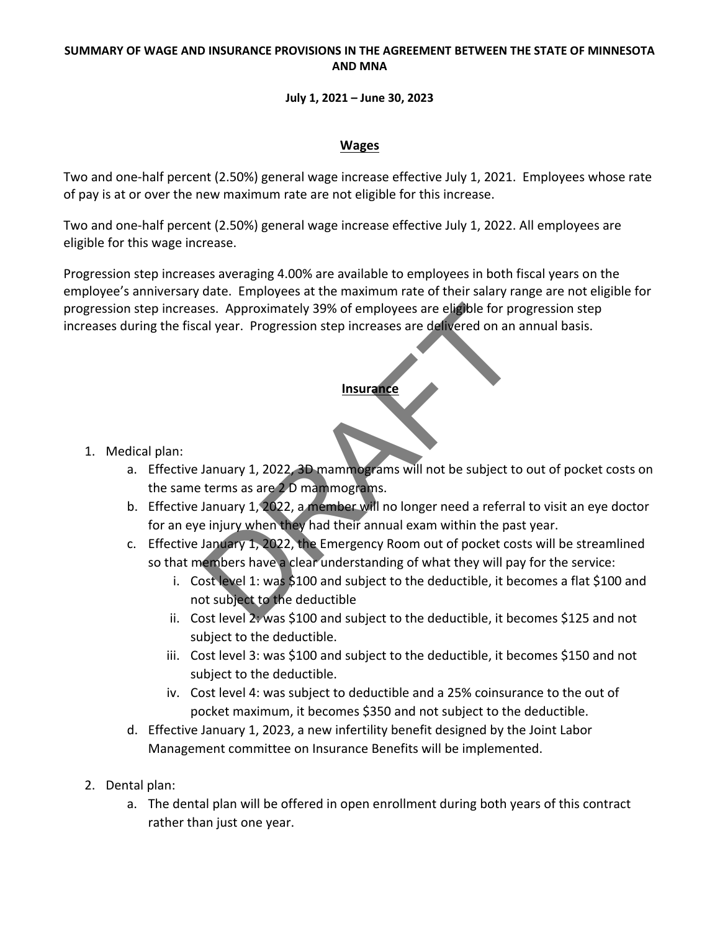#### **SUMMARY OF WAGE AND INSURANCE PROVISIONS IN THE AGREEMENT BETWEEN THE STATE OF MINNESOTA AND MNA**

#### **July 1, 2021 – June 30, 2023**

#### **Wages**

Two and one-half percent (2.50%) general wage increase effective July 1, 2021. Employees whose rate of pay is at or over the new maximum rate are not eligible for this increase.

Two and one-half percent (2.50%) general wage increase effective July 1, 2022. All employees are eligible for this wage increase.

Progression step increases averaging 4.00% are available to employees in both fiscal years on the employee's anniversary date. Employees at the maximum rate of their salary range are not eligible for progression step increases. Approximately 39% of employees are eligible for progression step increases during the fiscal year. Progression step increases are delivered on an annual basis.

## **Insurance**

- 1. Medical plan:
- a. Effective January 1, 2022, 3D mammograms will not be subject to out of pocket costs on the same terms as are 2 D mammograms. Example of the department of the deductible and the deductible to the same of the deductible and the deductible or the deductible and the deductible and the deductible and the deductible and the deductible and the deductib
	- b. Effective January 1, 2022, a member will no longer need a referral to visit an eye doctor for an eye injury when they had their annual exam within the past year.
	- c. Effective January 1, 2022, the Emergency Room out of pocket costs will be streamlined so that members have a clear understanding of what they will pay for the service:
		- i. Cost level 1: was \$100 and subject to the deductible, it becomes a flat \$100 and not subject to the deductible
		- ii. Cost level 2: was \$100 and subject to the deductible, it becomes \$125 and not subject to the deductible.
		- iii. Cost level 3: was \$100 and subject to the deductible, it becomes \$150 and not subject to the deductible.
		- iv. Cost level 4: was subject to deductible and a 25% coinsurance to the out of pocket maximum, it becomes \$350 and not subject to the deductible.
	- d. Effective January 1, 2023, a new infertility benefit designed by the Joint Labor Management committee on Insurance Benefits will be implemented.
- 2. Dental plan:
	- a. The dental plan will be offered in open enrollment during both years of this contract rather than just one year.